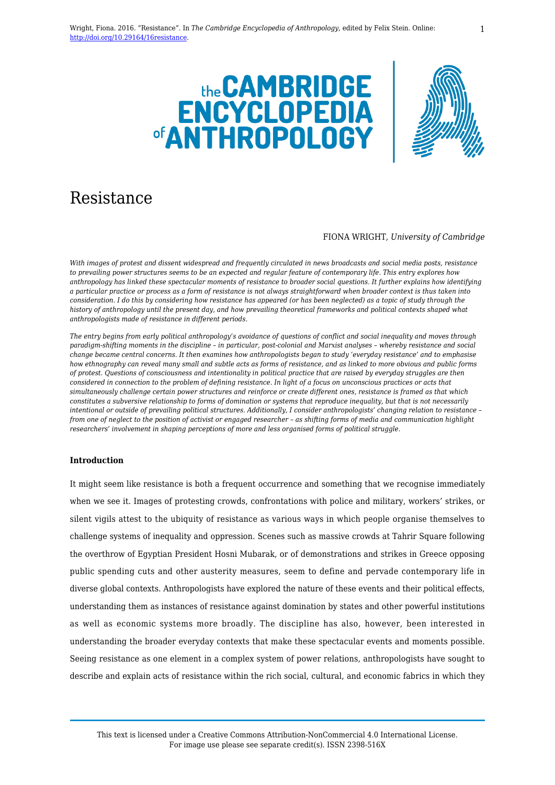



# Resistance

#### FIONA WRIGHT, *University of Cambridge*

*With images of protest and dissent widespread and frequently circulated in news broadcasts and social media posts, resistance to prevailing power structures seems to be an expected and regular feature of contemporary life. This entry explores how anthropology has linked these spectacular moments of resistance to broader social questions. It further explains how identifying a particular practice or process as a form of resistance is not always straightforward when broader context is thus taken into consideration. I do this by considering how resistance has appeared (or has been neglected) as a topic of study through the history of anthropology until the present day, and how prevailing theoretical frameworks and political contexts shaped what anthropologists made of resistance in different periods.*

*The entry begins from early political anthropology's avoidance of questions of conflict and social inequality and moves through paradigm-shifting moments in the discipline – in particular, post-colonial and Marxist analyses – whereby resistance and social change became central concerns. It then examines how anthropologists began to study 'everyday resistance' and to emphasise how ethnography can reveal many small and subtle acts as forms of resistance, and as linked to more obvious and public forms of protest. Questions of consciousness and intentionality in political practice that are raised by everyday struggles are then considered in connection to the problem of defining resistance. In light of a focus on unconscious practices or acts that simultaneously challenge certain power structures and reinforce or create different ones, resistance is framed as that which constitutes a subversive relationship to forms of domination or systems that reproduce inequality, but that is not necessarily intentional or outside of prevailing political structures. Additionally, I consider anthropologists' changing relation to resistance – from one of neglect to the position of activist or engaged researcher – as shifting forms of media and communication highlight researchers' involvement in shaping perceptions of more and less organised forms of political struggle.* 

### **Introduction**

It might seem like resistance is both a frequent occurrence and something that we recognise immediately when we see it. Images of protesting crowds, confrontations with police and military, workers' strikes, or silent vigils attest to the ubiquity of resistance as various ways in which people organise themselves to challenge systems of inequality and oppression. Scenes such as massive crowds at Tahrir Square following the overthrow of Egyptian President Hosni Mubarak, or of demonstrations and strikes in Greece opposing public spending cuts and other austerity measures, seem to define and pervade contemporary life in diverse global contexts. Anthropologists have explored the nature of these events and their political effects, understanding them as instances of resistance against domination by states and other powerful institutions as well as economic systems more broadly. The discipline has also, however, been interested in understanding the broader everyday contexts that make these spectacular events and moments possible. Seeing resistance as one element in a complex system of power relations, anthropologists have sought to describe and explain acts of resistance within the rich social, cultural, and economic fabrics in which they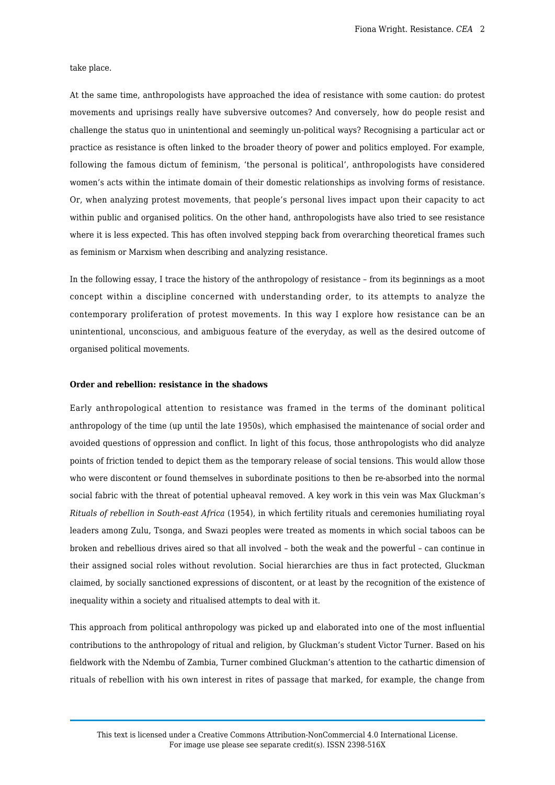take place.

At the same time, anthropologists have approached the idea of resistance with some caution: do protest movements and uprisings really have subversive outcomes? And conversely, how do people resist and challenge the status quo in unintentional and seemingly un-political ways? Recognising a particular act or practice as resistance is often linked to the broader theory of power and politics employed. For example, following the famous dictum of feminism, 'the personal is political', anthropologists have considered women's acts within the intimate domain of their domestic relationships as involving forms of resistance. Or, when analyzing protest movements, that people's personal lives impact upon their capacity to act within public and organised politics. On the other hand, anthropologists have also tried to see resistance where it is less expected. This has often involved stepping back from overarching theoretical frames such as feminism or Marxism when describing and analyzing resistance.

In the following essay, I trace the history of the anthropology of resistance – from its beginnings as a moot concept within a discipline concerned with understanding order, to its attempts to analyze the contemporary proliferation of protest movements. In this way I explore how resistance can be an unintentional, unconscious, and ambiguous feature of the everyday, as well as the desired outcome of organised political movements.

## **Order and rebellion: resistance in the shadows**

Early anthropological attention to resistance was framed in the terms of the dominant political anthropology of the time (up until the late 1950s), which emphasised the maintenance of social order and avoided questions of oppression and conflict. In light of this focus, those anthropologists who did analyze points of friction tended to depict them as the temporary release of social tensions. This would allow those who were discontent or found themselves in subordinate positions to then be re-absorbed into the normal social fabric with the threat of potential upheaval removed. A key work in this vein was Max Gluckman's *Rituals of rebellion in South-east Africa* (1954), in which fertility rituals and ceremonies humiliating royal leaders among Zulu, Tsonga, and Swazi peoples were treated as moments in which social taboos can be broken and rebellious drives aired so that all involved – both the weak and the powerful – can continue in their assigned social roles without revolution. Social hierarchies are thus in fact protected, Gluckman claimed, by socially sanctioned expressions of discontent, or at least by the recognition of the existence of inequality within a society and ritualised attempts to deal with it.

This approach from political anthropology was picked up and elaborated into one of the most influential contributions to the anthropology of ritual and religion, by Gluckman's student Victor Turner. Based on his fieldwork with the Ndembu of Zambia, Turner combined Gluckman's attention to the cathartic dimension of rituals of rebellion with his own interest in rites of passage that marked, for example, the change from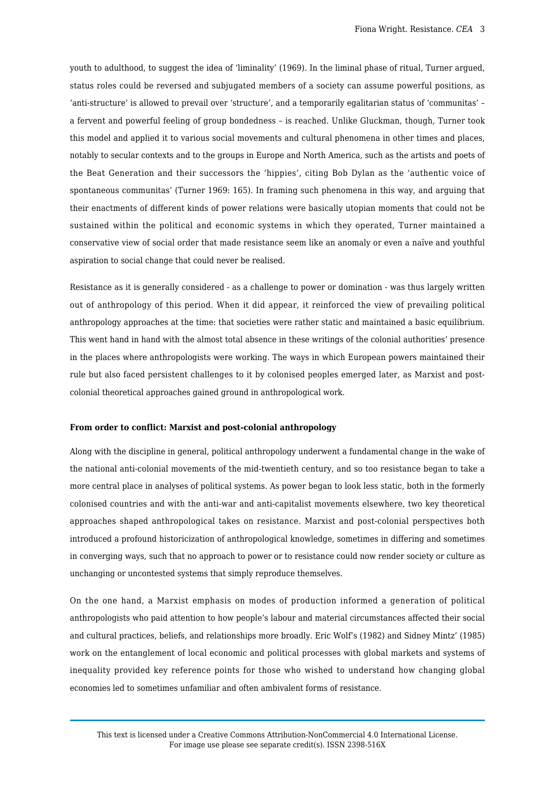youth to adulthood, to suggest the idea of 'liminality' (1969). In the liminal phase of ritual, Turner argued, status roles could be reversed and subjugated members of a society can assume powerful positions, as 'anti-structure' is allowed to prevail over 'structure', and a temporarily egalitarian status of 'communitas' – a fervent and powerful feeling of group bondedness – is reached. Unlike Gluckman, though, Turner took this model and applied it to various social movements and cultural phenomena in other times and places, notably to secular contexts and to the groups in Europe and North America, such as the artists and poets of the Beat Generation and their successors the 'hippies', citing Bob Dylan as the 'authentic voice of spontaneous communitas' (Turner 1969: 165). In framing such phenomena in this way, and arguing that their enactments of different kinds of power relations were basically utopian moments that could not be sustained within the political and economic systems in which they operated, Turner maintained a conservative view of social order that made resistance seem like an anomaly or even a naïve and youthful aspiration to social change that could never be realised.

Resistance as it is generally considered - as a challenge to power or domination - was thus largely written out of anthropology of this period. When it did appear, it reinforced the view of prevailing political anthropology approaches at the time: that societies were rather static and maintained a basic equilibrium. This went hand in hand with the almost total absence in these writings of the colonial authorities' presence in the places where anthropologists were working. The ways in which European powers maintained their rule but also faced persistent challenges to it by colonised peoples emerged later, as Marxist and postcolonial theoretical approaches gained ground in anthropological work.

#### **From order to conflict: Marxist and post-colonial anthropology**

Along with the discipline in general, political anthropology underwent a fundamental change in the wake of the national anti-colonial movements of the mid-twentieth century, and so too resistance began to take a more central place in analyses of political systems. As power began to look less static, both in the formerly colonised countries and with the anti-war and anti-capitalist movements elsewhere, two key theoretical approaches shaped anthropological takes on resistance. Marxist and post-colonial perspectives both introduced a profound historicization of anthropological knowledge, sometimes in differing and sometimes in converging ways, such that no approach to power or to resistance could now render society or culture as unchanging or uncontested systems that simply reproduce themselves.

On the one hand, a Marxist emphasis on modes of production informed a generation of political anthropologists who paid attention to how people's labour and material circumstances affected their social and cultural practices, beliefs, and relationships more broadly. Eric Wolf's (1982) and Sidney Mintz' (1985) work on the entanglement of local economic and political processes with global markets and systems of inequality provided key reference points for those who wished to understand how changing global economies led to sometimes unfamiliar and often ambivalent forms of resistance.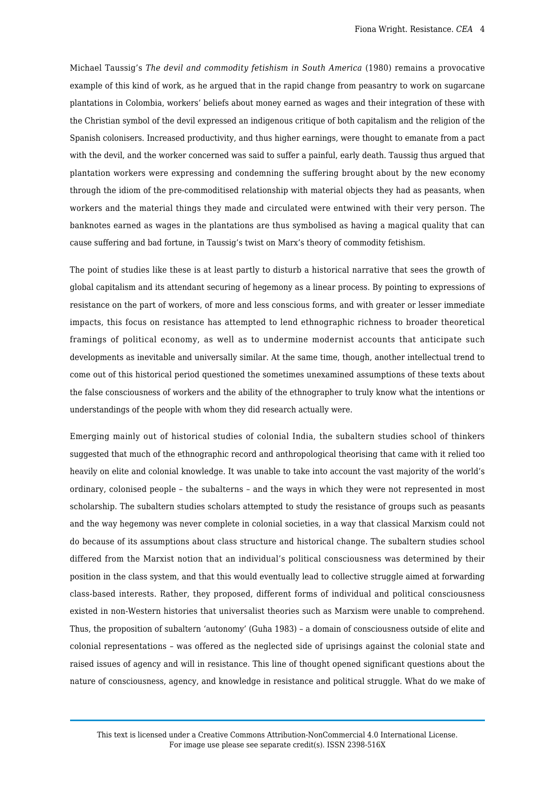Michael Taussig's *The devil and commodity fetishism in South America* (1980) remains a provocative example of this kind of work, as he argued that in the rapid change from peasantry to work on sugarcane plantations in Colombia, workers' beliefs about money earned as wages and their integration of these with the Christian symbol of the devil expressed an indigenous critique of both capitalism and the religion of the Spanish colonisers. Increased productivity, and thus higher earnings, were thought to emanate from a pact with the devil, and the worker concerned was said to suffer a painful, early death. Taussig thus argued that plantation workers were expressing and condemning the suffering brought about by the new economy through the idiom of the pre-commoditised relationship with material objects they had as peasants, when workers and the material things they made and circulated were entwined with their very person. The banknotes earned as wages in the plantations are thus symbolised as having a magical quality that can cause suffering and bad fortune, in Taussig's twist on Marx's theory of commodity fetishism.

The point of studies like these is at least partly to disturb a historical narrative that sees the growth of global capitalism and its attendant securing of hegemony as a linear process. By pointing to expressions of resistance on the part of workers, of more and less conscious forms, and with greater or lesser immediate impacts, this focus on resistance has attempted to lend ethnographic richness to broader theoretical framings of political economy, as well as to undermine modernist accounts that anticipate such developments as inevitable and universally similar. At the same time, though, another intellectual trend to come out of this historical period questioned the sometimes unexamined assumptions of these texts about the false consciousness of workers and the ability of the ethnographer to truly know what the intentions or understandings of the people with whom they did research actually were.

Emerging mainly out of historical studies of colonial India, the subaltern studies school of thinkers suggested that much of the ethnographic record and anthropological theorising that came with it relied too heavily on elite and colonial knowledge. It was unable to take into account the vast majority of the world's ordinary, colonised people – the subalterns – and the ways in which they were not represented in most scholarship. The subaltern studies scholars attempted to study the resistance of groups such as peasants and the way hegemony was never complete in colonial societies, in a way that classical Marxism could not do because of its assumptions about class structure and historical change. The subaltern studies school differed from the Marxist notion that an individual's political consciousness was determined by their position in the class system, and that this would eventually lead to collective struggle aimed at forwarding class-based interests. Rather, they proposed, different forms of individual and political consciousness existed in non-Western histories that universalist theories such as Marxism were unable to comprehend. Thus, the proposition of subaltern 'autonomy' (Guha 1983) – a domain of consciousness outside of elite and colonial representations – was offered as the neglected side of uprisings against the colonial state and raised issues of agency and will in resistance. This line of thought opened significant questions about the nature of consciousness, agency, and knowledge in resistance and political struggle. What do we make of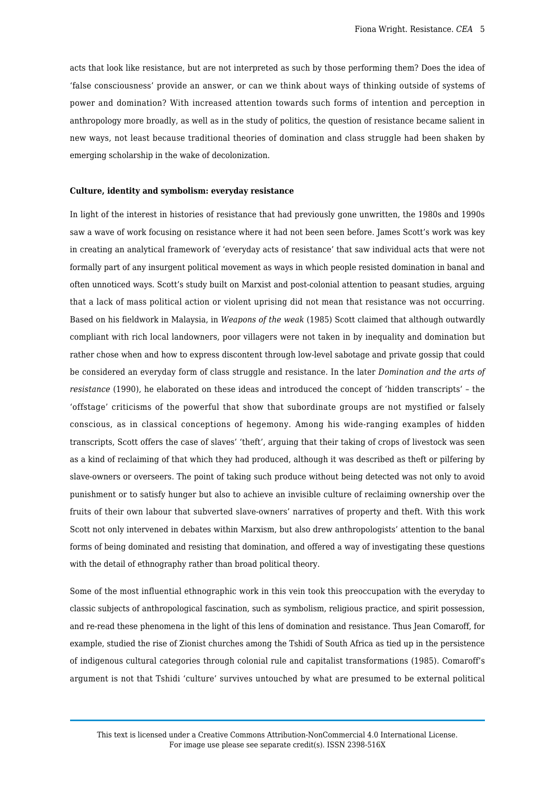acts that look like resistance, but are not interpreted as such by those performing them? Does the idea of 'false consciousness' provide an answer, or can we think about ways of thinking outside of systems of power and domination? With increased attention towards such forms of intention and perception in anthropology more broadly, as well as in the study of politics, the question of resistance became salient in new ways, not least because traditional theories of domination and class struggle had been shaken by emerging scholarship in the wake of decolonization.

#### **Culture, identity and symbolism: everyday resistance**

In light of the interest in histories of resistance that had previously gone unwritten, the 1980s and 1990s saw a wave of work focusing on resistance where it had not been seen before. James Scott's work was key in creating an analytical framework of 'everyday acts of resistance' that saw individual acts that were not formally part of any insurgent political movement as ways in which people resisted domination in banal and often unnoticed ways. Scott's study built on Marxist and post-colonial attention to peasant studies, arguing that a lack of mass political action or violent uprising did not mean that resistance was not occurring. Based on his fieldwork in Malaysia, in *Weapons of the weak* (1985) Scott claimed that although outwardly compliant with rich local landowners, poor villagers were not taken in by inequality and domination but rather chose when and how to express discontent through low-level sabotage and private gossip that could be considered an everyday form of class struggle and resistance. In the later *Domination and the arts of resistance* (1990), he elaborated on these ideas and introduced the concept of 'hidden transcripts' – the 'offstage' criticisms of the powerful that show that subordinate groups are not mystified or falsely conscious, as in classical conceptions of hegemony. Among his wide-ranging examples of hidden transcripts, Scott offers the case of slaves' 'theft', arguing that their taking of crops of livestock was seen as a kind of reclaiming of that which they had produced, although it was described as theft or pilfering by slave-owners or overseers. The point of taking such produce without being detected was not only to avoid punishment or to satisfy hunger but also to achieve an invisible culture of reclaiming ownership over the fruits of their own labour that subverted slave-owners' narratives of property and theft. With this work Scott not only intervened in debates within Marxism, but also drew anthropologists' attention to the banal forms of being dominated and resisting that domination, and offered a way of investigating these questions with the detail of ethnography rather than broad political theory.

Some of the most influential ethnographic work in this vein took this preoccupation with the everyday to classic subjects of anthropological fascination, such as symbolism, religious practice, and spirit possession, and re-read these phenomena in the light of this lens of domination and resistance. Thus Jean Comaroff, for example, studied the rise of Zionist churches among the Tshidi of South Africa as tied up in the persistence of indigenous cultural categories through colonial rule and capitalist transformations (1985). Comaroff's argument is not that Tshidi 'culture' survives untouched by what are presumed to be external political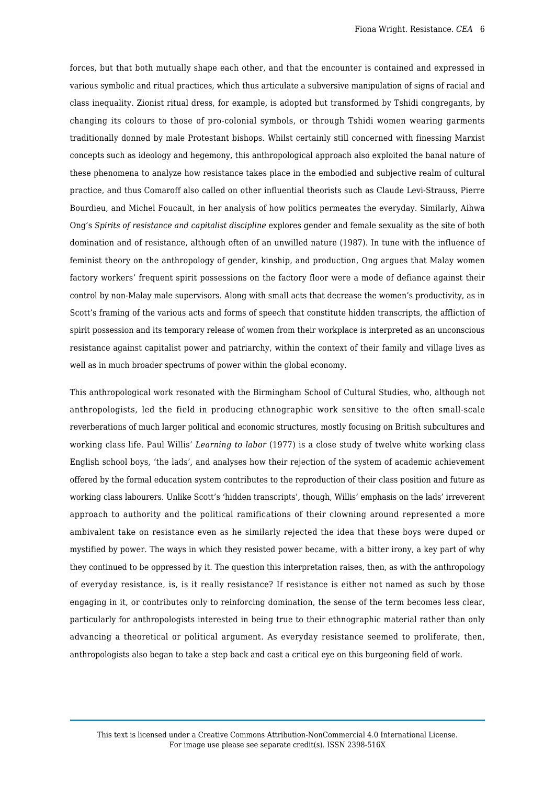forces, but that both mutually shape each other, and that the encounter is contained and expressed in various symbolic and ritual practices, which thus articulate a subversive manipulation of signs of racial and class inequality. Zionist ritual dress, for example, is adopted but transformed by Tshidi congregants, by changing its colours to those of pro-colonial symbols, or through Tshidi women wearing garments traditionally donned by male Protestant bishops. Whilst certainly still concerned with finessing Marxist concepts such as ideology and hegemony, this anthropological approach also exploited the banal nature of these phenomena to analyze how resistance takes place in the embodied and subjective realm of cultural practice, and thus Comaroff also called on other influential theorists such as Claude Levi-Strauss, Pierre Bourdieu, and Michel Foucault, in her analysis of how politics permeates the everyday. Similarly, Aihwa Ong's *Spirits of resistance and capitalist discipline* explores gender and female sexuality as the site of both domination and of resistance, although often of an unwilled nature (1987). In tune with the influence of feminist theory on the anthropology of gender, kinship, and production, Ong argues that Malay women factory workers' frequent spirit possessions on the factory floor were a mode of defiance against their control by non-Malay male supervisors. Along with small acts that decrease the women's productivity, as in Scott's framing of the various acts and forms of speech that constitute hidden transcripts, the affliction of spirit possession and its temporary release of women from their workplace is interpreted as an unconscious resistance against capitalist power and patriarchy, within the context of their family and village lives as well as in much broader spectrums of power within the global economy.

This anthropological work resonated with the Birmingham School of Cultural Studies, who, although not anthropologists, led the field in producing ethnographic work sensitive to the often small-scale reverberations of much larger political and economic structures, mostly focusing on British subcultures and working class life. Paul Willis' *Learning to labor* (1977) is a close study of twelve white working class English school boys, 'the lads', and analyses how their rejection of the system of academic achievement offered by the formal education system contributes to the reproduction of their class position and future as working class labourers. Unlike Scott's 'hidden transcripts', though, Willis' emphasis on the lads' irreverent approach to authority and the political ramifications of their clowning around represented a more ambivalent take on resistance even as he similarly rejected the idea that these boys were duped or mystified by power. The ways in which they resisted power became, with a bitter irony, a key part of why they continued to be oppressed by it. The question this interpretation raises, then, as with the anthropology of everyday resistance, is, is it really resistance? If resistance is either not named as such by those engaging in it, or contributes only to reinforcing domination, the sense of the term becomes less clear, particularly for anthropologists interested in being true to their ethnographic material rather than only advancing a theoretical or political argument. As everyday resistance seemed to proliferate, then, anthropologists also began to take a step back and cast a critical eye on this burgeoning field of work.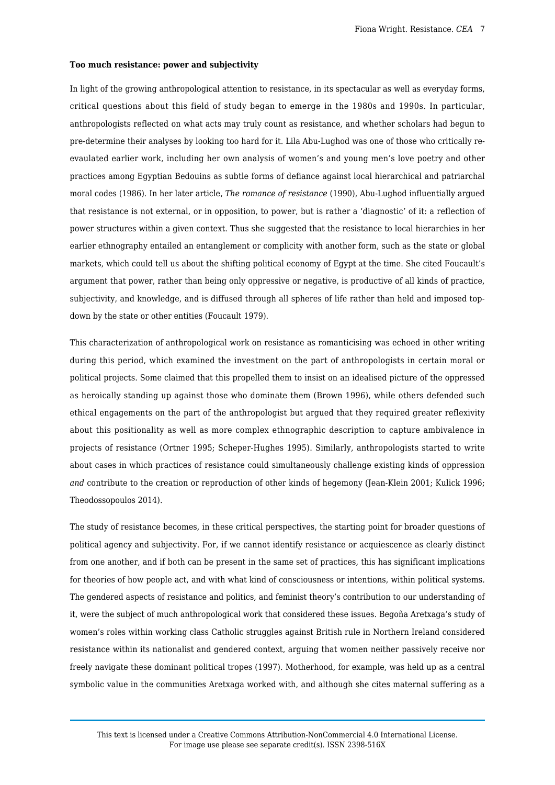#### **Too much resistance: power and subjectivity**

In light of the growing anthropological attention to resistance, in its spectacular as well as everyday forms, critical questions about this field of study began to emerge in the 1980s and 1990s. In particular, anthropologists reflected on what acts may truly count as resistance, and whether scholars had begun to pre-determine their analyses by looking too hard for it. Lila Abu-Lughod was one of those who critically reevaulated earlier work, including her own analysis of women's and young men's love poetry and other practices among Egyptian Bedouins as subtle forms of defiance against local hierarchical and patriarchal moral codes (1986). In her later article, *The romance of resistance* (1990), Abu-Lughod influentially argued that resistance is not external, or in opposition, to power, but is rather a 'diagnostic' of it: a reflection of power structures within a given context. Thus she suggested that the resistance to local hierarchies in her earlier ethnography entailed an entanglement or complicity with another form, such as the state or global markets, which could tell us about the shifting political economy of Egypt at the time. She cited Foucault's argument that power, rather than being only oppressive or negative, is productive of all kinds of practice, subjectivity, and knowledge, and is diffused through all spheres of life rather than held and imposed topdown by the state or other entities (Foucault 1979).

This characterization of anthropological work on resistance as romanticising was echoed in other writing during this period, which examined the investment on the part of anthropologists in certain moral or political projects. Some claimed that this propelled them to insist on an idealised picture of the oppressed as heroically standing up against those who dominate them (Brown 1996), while others defended such ethical engagements on the part of the anthropologist but argued that they required greater reflexivity about this positionality as well as more complex ethnographic description to capture ambivalence in projects of resistance (Ortner 1995; Scheper-Hughes 1995). Similarly, anthropologists started to write about cases in which practices of resistance could simultaneously challenge existing kinds of oppression *and* contribute to the creation or reproduction of other kinds of hegemony (Jean-Klein 2001; Kulick 1996; Theodossopoulos 2014).

The study of resistance becomes, in these critical perspectives, the starting point for broader questions of political agency and subjectivity. For, if we cannot identify resistance or acquiescence as clearly distinct from one another, and if both can be present in the same set of practices, this has significant implications for theories of how people act, and with what kind of consciousness or intentions, within political systems. The gendered aspects of resistance and politics, and feminist theory's contribution to our understanding of it, were the subject of much anthropological work that considered these issues. Begoña Aretxaga's study of women's roles within working class Catholic struggles against British rule in Northern Ireland considered resistance within its nationalist and gendered context, arguing that women neither passively receive nor freely navigate these dominant political tropes (1997). Motherhood, for example, was held up as a central symbolic value in the communities Aretxaga worked with, and although she cites maternal suffering as a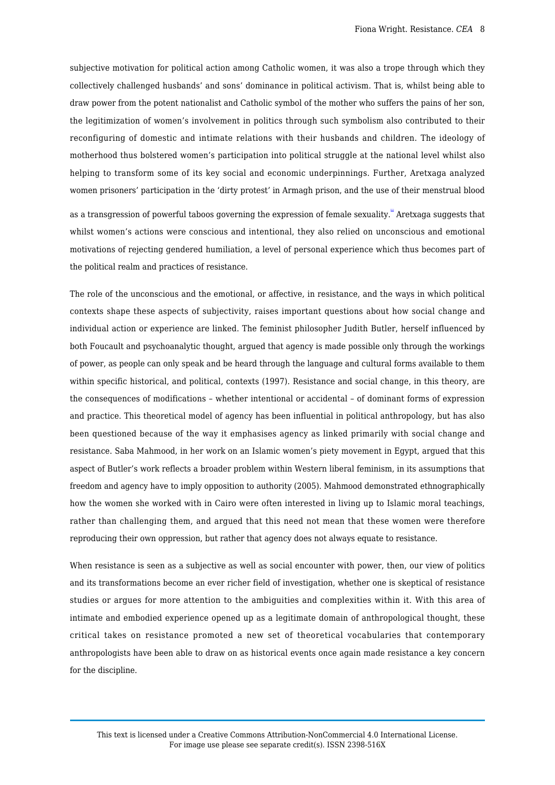subjective motivation for political action among Catholic women, it was also a trope through which they collectively challenged husbands' and sons' dominance in political activism. That is, whilst being able to draw power from the potent nationalist and Catholic symbol of the mother who suffers the pains of her son, the legitimization of women's involvement in politics through such symbolism also contributed to their reconfiguring of domestic and intimate relations with their husbands and children. The ideology of motherhood thus bolstered women's participation into political struggle at the national level whilst also helping to transform some of its key social and economic underpinnings. Further, Aretxaga analyzed women prisoners' participation in the 'dirty protest' in Armagh prison, and the use of their menstrual blood

<span id="page-7-0"></span>as a transgression of powerful taboos governing the expression of female sexuality.<sup>"'</sup> Aretxaga suggests that whilst women's actions were conscious and intentional, they also relied on unconscious and emotional motivations of rejecting gendered humiliation, a level of personal experience which thus becomes part of the political realm and practices of resistance.

The role of the unconscious and the emotional, or affective, in resistance, and the ways in which political contexts shape these aspects of subjectivity, raises important questions about how social change and individual action or experience are linked. The feminist philosopher Judith Butler, herself influenced by both Foucault and psychoanalytic thought, argued that agency is made possible only through the workings of power, as people can only speak and be heard through the language and cultural forms available to them within specific historical, and political, contexts (1997). Resistance and social change, in this theory, are the consequences of modifications – whether intentional or accidental – of dominant forms of expression and practice. This theoretical model of agency has been influential in political anthropology, but has also been questioned because of the way it emphasises agency as linked primarily with social change and resistance. Saba Mahmood, in her work on an Islamic women's piety movement in Egypt, argued that this aspect of Butler's work reflects a broader problem within Western liberal feminism, in its assumptions that freedom and agency have to imply opposition to authority (2005). Mahmood demonstrated ethnographically how the women she worked with in Cairo were often interested in living up to Islamic moral teachings, rather than challenging them, and argued that this need not mean that these women were therefore reproducing their own oppression, but rather that agency does not always equate to resistance.

When resistance is seen as a subjective as well as social encounter with power, then, our view of politics and its transformations become an ever richer field of investigation, whether one is skeptical of resistance studies or argues for more attention to the ambiguities and complexities within it. With this area of intimate and embodied experience opened up as a legitimate domain of anthropological thought, these critical takes on resistance promoted a new set of theoretical vocabularies that contemporary anthropologists have been able to draw on as historical events once again made resistance a key concern for the discipline.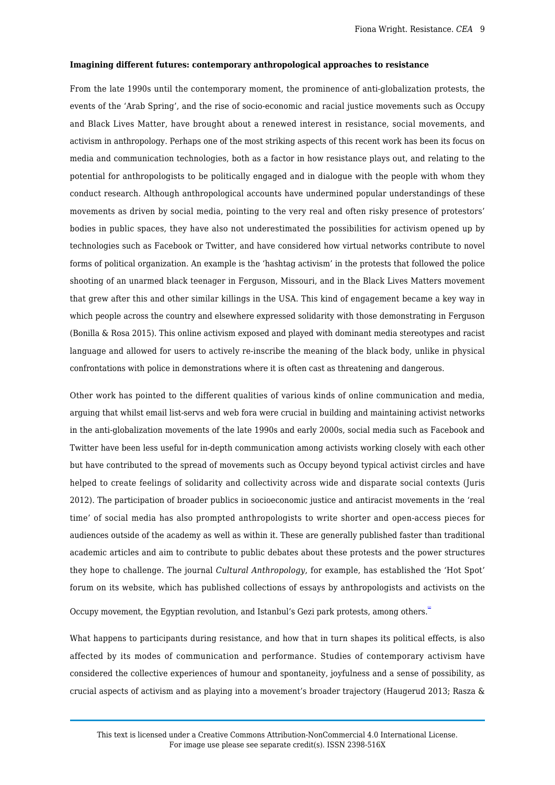#### **Imagining different futures: contemporary anthropological approaches to resistance**

From the late 1990s until the contemporary moment, the prominence of anti-globalization protests, the events of the 'Arab Spring', and the rise of socio-economic and racial justice movements such as Occupy and Black Lives Matter, have brought about a renewed interest in resistance, social movements, and activism in anthropology. Perhaps one of the most striking aspects of this recent work has been its focus on media and communication technologies, both as a factor in how resistance plays out, and relating to the potential for anthropologists to be politically engaged and in dialogue with the people with whom they conduct research. Although anthropological accounts have undermined popular understandings of these movements as driven by social media, pointing to the very real and often risky presence of protestors' bodies in public spaces, they have also not underestimated the possibilities for activism opened up by technologies such as Facebook or Twitter, and have considered how virtual networks contribute to novel forms of political organization. An example is the 'hashtag activism' in the protests that followed the police shooting of an unarmed black teenager in Ferguson, Missouri, and in the Black Lives Matters movement that grew after this and other similar killings in the USA. This kind of engagement became a key way in which people across the country and elsewhere expressed solidarity with those demonstrating in Ferguson (Bonilla & Rosa 2015). This online activism exposed and played with dominant media stereotypes and racist language and allowed for users to actively re-inscribe the meaning of the black body, unlike in physical confrontations with police in demonstrations where it is often cast as threatening and dangerous.

Other work has pointed to the different qualities of various kinds of online communication and media, arguing that whilst email list-servs and web fora were crucial in building and maintaining activist networks in the anti-globalization movements of the late 1990s and early 2000s, social media such as Facebook and Twitter have been less useful for in-depth communication among activists working closely with each other but have contributed to the spread of movements such as Occupy beyond typical activist circles and have helped to create feelings of solidarity and collectivity across wide and disparate social contexts (Juris 2012). The participation of broader publics in socioeconomic justice and antiracist movements in the 'real time' of social media has also prompted anthropologists to write shorter and open-access pieces for audiences outside of the academy as well as within it. These are generally published faster than traditional academic articles and aim to contribute to public debates about these protests and the power structures they hope to challenge. The journal *Cultural Anthropology*, for example, has established the 'Hot Spot' forum on its website, which has published collections of essays by anthropologists and activists on the

<span id="page-8-0"></span>Occupy movement, the Egyptian revolution, and Istanbul's Gezi park protests, among others.

What happens to participants during resistance, and how that in turn shapes its political effects, is also affected by its modes of communication and performance. Studies of contemporary activism have considered the collective experiences of humour and spontaneity, joyfulness and a sense of possibility, as crucial aspects of activism and as playing into a movement's broader trajectory (Haugerud 2013; Rasza &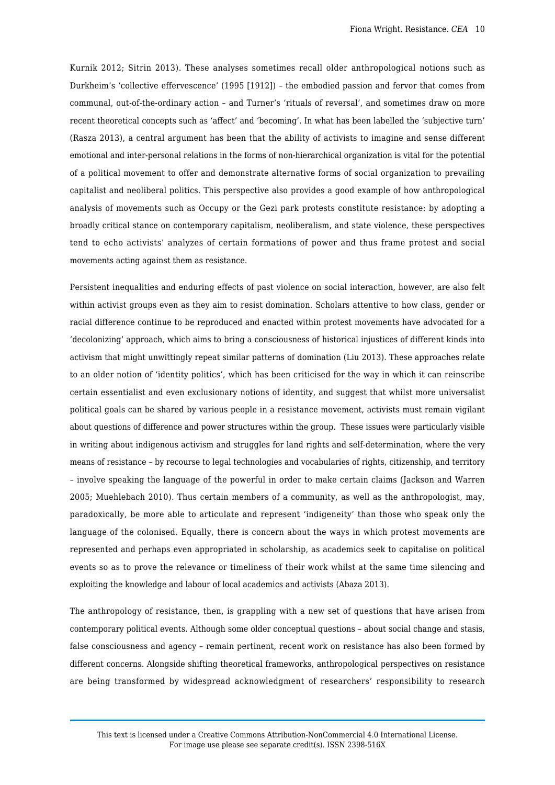Kurnik 2012; Sitrin 2013). These analyses sometimes recall older anthropological notions such as Durkheim's 'collective effervescence' (1995 [1912]) – the embodied passion and fervor that comes from communal, out-of-the-ordinary action – and Turner's 'rituals of reversal', and sometimes draw on more recent theoretical concepts such as 'affect' and 'becoming'. In what has been labelled the 'subjective turn' (Rasza 2013), a central argument has been that the ability of activists to imagine and sense different emotional and inter-personal relations in the forms of non-hierarchical organization is vital for the potential of a political movement to offer and demonstrate alternative forms of social organization to prevailing capitalist and neoliberal politics. This perspective also provides a good example of how anthropological analysis of movements such as Occupy or the Gezi park protests constitute resistance: by adopting a broadly critical stance on contemporary capitalism, neoliberalism, and state violence, these perspectives tend to echo activists' analyzes of certain formations of power and thus frame protest and social movements acting against them as resistance.

Persistent inequalities and enduring effects of past violence on social interaction, however, are also felt within activist groups even as they aim to resist domination. Scholars attentive to how class, gender or racial difference continue to be reproduced and enacted within protest movements have advocated for a 'decolonizing' approach, which aims to bring a consciousness of historical injustices of different kinds into activism that might unwittingly repeat similar patterns of domination (Liu 2013). These approaches relate to an older notion of 'identity politics', which has been criticised for the way in which it can reinscribe certain essentialist and even exclusionary notions of identity, and suggest that whilst more universalist political goals can be shared by various people in a resistance movement, activists must remain vigilant about questions of difference and power structures within the group. These issues were particularly visible in writing about indigenous activism and struggles for land rights and self-determination, where the very means of resistance – by recourse to legal technologies and vocabularies of rights, citizenship, and territory – involve speaking the language of the powerful in order to make certain claims (Jackson and Warren 2005; Muehlebach 2010). Thus certain members of a community, as well as the anthropologist, may, paradoxically, be more able to articulate and represent 'indigeneity' than those who speak only the language of the colonised. Equally, there is concern about the ways in which protest movements are represented and perhaps even appropriated in scholarship, as academics seek to capitalise on political events so as to prove the relevance or timeliness of their work whilst at the same time silencing and exploiting the knowledge and labour of local academics and activists (Abaza 2013).

The anthropology of resistance, then, is grappling with a new set of questions that have arisen from contemporary political events. Although some older conceptual questions – about social change and stasis, false consciousness and agency – remain pertinent, recent work on resistance has also been formed by different concerns. Alongside shifting theoretical frameworks, anthropological perspectives on resistance are being transformed by widespread acknowledgment of researchers' responsibility to research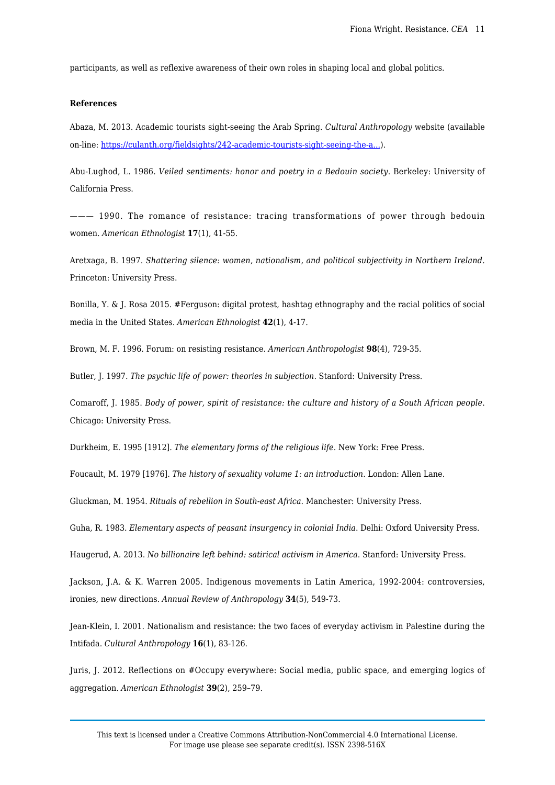participants, as well as reflexive awareness of their own roles in shaping local and global politics.

# **References**

Abaza, M. 2013. Academic tourists sight-seeing the Arab Spring. *Cultural Anthropology* website (available on-line: [https://culanth.org/fieldsights/242-academic-tourists-sight-seeing-the-a...](https://culanth.org/fieldsights/242-academic-tourists-sight-seeing-the-arab-spring)).

Abu-Lughod, L. 1986. *Veiled sentiments: honor and poetry in a Bedouin society*. Berkeley: University of California Press.

——— 1990. The romance of resistance: tracing transformations of power through bedouin women. *American Ethnologist* **17**(1), 41-55.

Aretxaga, B. 1997. *Shattering silence: women, nationalism, and political subjectivity in Northern Ireland*. Princeton: University Press.

Bonilla, Y. & J. Rosa 2015. #Ferguson: digital protest, hashtag ethnography and the racial politics of social media in the United States. *American Ethnologist* **42**(1), 4-17.

Brown, M. F. 1996. Forum: on resisting resistance. *American Anthropologist* **98**(4), 729-35.

Butler, J. 1997. *The psychic life of power: theories in subjection*. Stanford: University Press.

Comaroff, J. 1985. *Body of power, spirit of resistance: the culture and history of a South African people*. Chicago: University Press.

Durkheim, E. 1995 [1912]. *The elementary forms of the religious life*. New York: Free Press.

Foucault, M. 1979 [1976]. *The history of sexuality volume 1: an introduction*. London: Allen Lane.

Gluckman, M. 1954. *Rituals of rebellion in South-east Africa*. Manchester: University Press.

Guha, R. 1983. *Elementary aspects of peasant insurgency in colonial India*. Delhi: Oxford University Press.

Haugerud, A. 2013. *No billionaire left behind: satirical activism in America*. Stanford: University Press.

Jackson, J.A. & K. Warren 2005. Indigenous movements in Latin America, 1992-2004: controversies, ironies, new directions. *Annual Review of Anthropology* **34**(5), 549-73.

Jean-Klein, I. 2001. Nationalism and resistance: the two faces of everyday activism in Palestine during the Intifada. *Cultural Anthropology* **16**(1), 83-126.

Juris, J. 2012. Reflections on #Occupy everywhere: Social media, public space, and emerging logics of aggregation. *American Ethnologist* **39**(2), 259–79.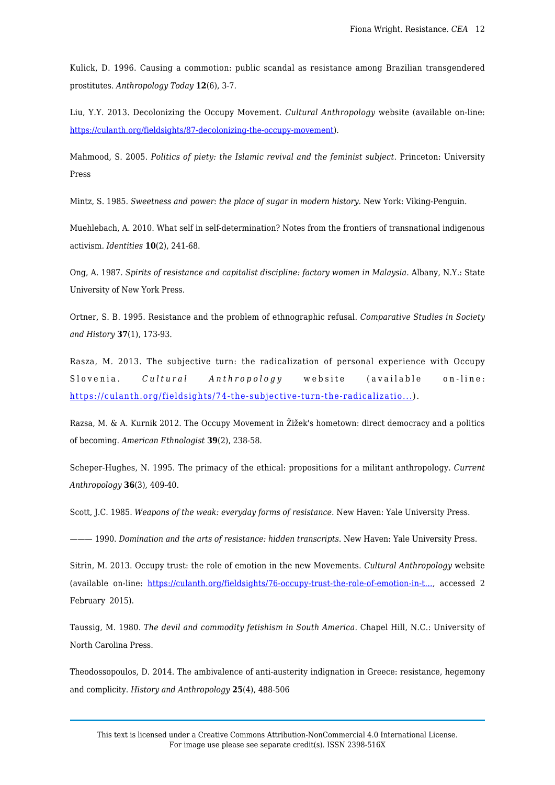Kulick, D. 1996. Causing a commotion: public scandal as resistance among Brazilian transgendered prostitutes. *Anthropology Today* **12**(6), 3-7.

Liu, Y.Y. 2013. Decolonizing the Occupy Movement. *Cultural Anthropology* website (available on-line: [https://culanth.org/fieldsights/87-decolonizing-the-occupy-movement\)](https://culanth.org/fieldsights/87-decolonizing-the-occupy-movement).

Mahmood, S. 2005. *Politics of piety: the Islamic revival and the feminist subject*. Princeton: University Press

Mintz, S. 1985. *Sweetness and power: the place of sugar in modern history.* New York: Viking-Penguin.

Muehlebach, A. 2010. What self in self-determination? Notes from the frontiers of transnational indigenous activism. *Identities* **10**(2), 241-68.

Ong, A. 1987. *Spirits of resistance and capitalist discipline: factory women in Malaysia*. Albany, N.Y.: State University of New York Press.

Ortner, S. B. 1995. Resistance and the problem of ethnographic refusal. *Comparative Studies in Society and History* **37**(1), 173-93.

Rasza, M. 2013. The subjective turn: the radicalization of personal experience with Occupy Slovenia. *Cultural Anthropology* website (available on-line: [https://culanth.org/fieldsights/74-the-subjective-turn-the-radicalizatio...\)](https://culanth.org/fieldsights/74-the-subjective-turn-the-radicalization-of-personal-experience-within-occupy-slovenia).

Razsa, M. & A. Kurnik 2012. The Occupy Movement in Žižek's hometown: direct democracy and a politics of becoming. *American Ethnologist* **39**(2), 238-58.

Scheper-Hughes, N. 1995. The primacy of the ethical: propositions for a militant anthropology. *Current Anthropology* **36**(3), 409-40.

Scott, J.C. 1985. *Weapons of the weak: everyday forms of resistance*. New Haven: Yale University Press.

——— 1990. *Domination and the arts of resistance: hidden transcripts*. New Haven: Yale University Press.

Sitrin, M. 2013. Occupy trust: the role of emotion in the new Movements. *Cultural Anthropology* website (available on-line: [https://culanth.org/fieldsights/76-occupy-trust-the-role-of-emotion-in-t...](https://culanth.org/fieldsights/76-occupy-trust-the-role-of-emotion-in-the-new-movements), accessed 2 February 2015).

Taussig, M. 1980. *The devil and commodity fetishism in South America*. Chapel Hill, N.C.: University of North Carolina Press.

Theodossopoulos, D. 2014. The ambivalence of anti-austerity indignation in Greece: resistance, hegemony and complicity. *History and Anthropology* **25**(4), 488-506